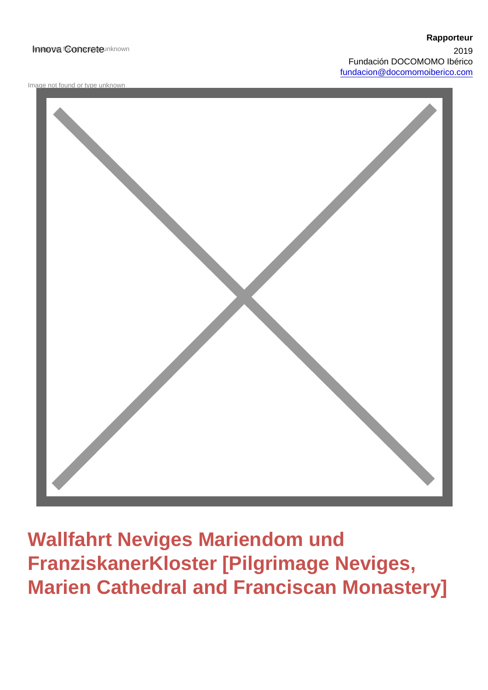### Innova fooncrete unknown

Image not found or type unknown



Wallfahrt Neviges Mariendom und FranziskanerKloster [Pilgrimage Neviges, Marien Cathedral and Franciscan Monastery]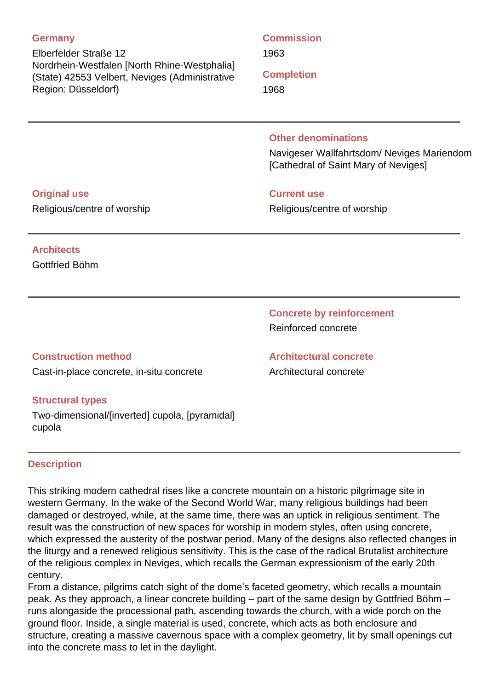### **Germany**

Elberfelder Straße 12 Nordrhein-Westfalen [North Rhine-Westphalia] (State) 42553 Velbert, Neviges (Administrative Region: Düsseldorf)

## **Commission**

1963

**Completion**

1968

### **Other denominations**

Navigeser Wallfahrtsdom/ Neviges Mariendom [Cathedral of Saint Mary of Neviges]

### **Original use**

Religious/centre of worship

### **Current use**

Religious/centre of worship

# **Architects**

Gottfried Böhm

**Concrete by reinforcement** Reinforced concrete

**Architectural concrete** Architectural concrete

## **Construction method**

Cast-in-place concrete, in-situ concrete

## **Structural types**

Two-dimensional/[inverted] cupola, [pyramidal] cupola

## **Description**

This striking modern cathedral rises like a concrete mountain on a historic pilgrimage site in western Germany. In the wake of the Second World War, many religious buildings had been damaged or destroyed, while, at the same time, there was an uptick in religious sentiment. The result was the construction of new spaces for worship in modern styles, often using concrete, which expressed the austerity of the postwar period. Many of the designs also reflected changes in the liturgy and a renewed religious sensitivity. This is the case of the radical Brutalist architecture of the religious complex in Neviges, which recalls the German expressionism of the early 20th century.

From a distance, pilgrims catch sight of the dome's faceted geometry, which recalls a mountain peak. As they approach, a linear concrete building – part of the same design by Gottfried Böhm – runs alongaside the processional path, ascending towards the church, with a wide porch on the ground floor. Inside, a single material is used, concrete, which acts as both enclosure and structure, creating a massive cavernous space with a complex geometry, lit by small openings cut into the concrete mass to let in the daylight.